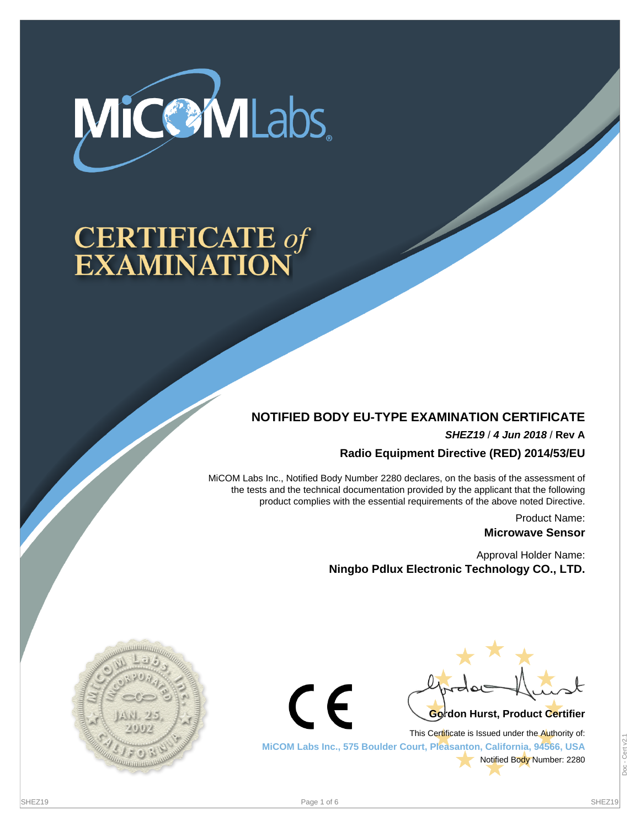

# **CERTIFICATE of<br>EXAMINATION**

## **NOTIFIED BODY EU-TYPE EXAMINATION CERTIFICATE**

**SHEZ19** / **4 Jun 2018** / **Rev A**

**Radio Equipment Directive (RED) 2014/53/EU**

MiCOM Labs Inc., Notified Body Number 2280 declares, on the basis of the assessment of the tests and the technical documentation provided by the applicant that the following product complies with the essential requirements of the above noted Directive.

> Product Name: **Microwave Sensor**

Approval Holder Name: **Ningbo Pdlux Electronic Technology CO., LTD.**





This Certificate is Issued under the Authority of: **MiCOM Labs Inc., 575 Boulder Court, Pleasanton, California, 94566, USA** Notified Body Number: 2280

 $\epsilon$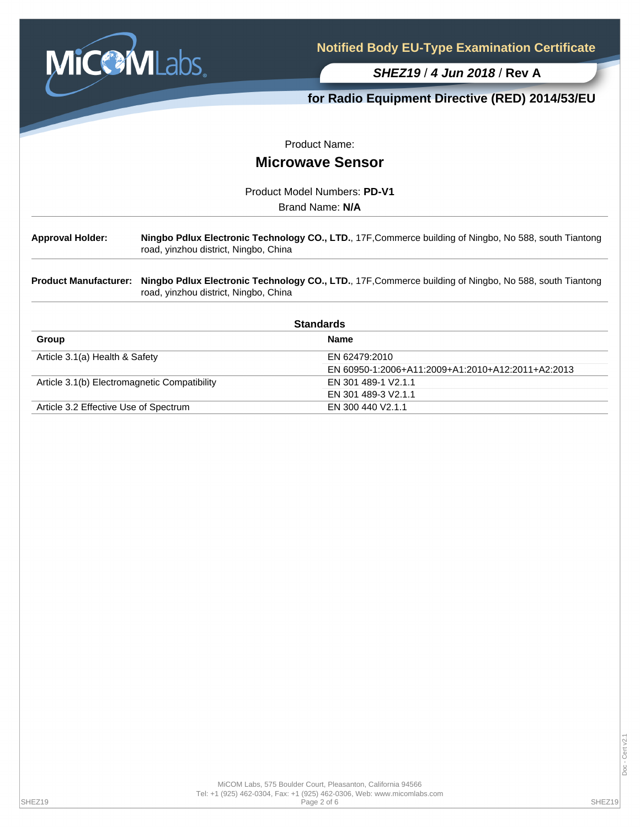

**for Radio Equipment Directive (RED) 2014/53/EU**

Product Name:

# **Microwave Sensor**

Product Model Numbers: **PD-V1**

Brand Name: **N/A**

**Approval Holder: Ningbo Pdlux Electronic Technology CO., LTD.**, 17F,Commerce building of Ningbo, No 588, south Tiantong road, yinzhou district, Ningbo, China

**Product Manufacturer: Ningbo Pdlux Electronic Technology CO., LTD.**, 17F,Commerce building of Ningbo, No 588, south Tiantong road, yinzhou district, Ningbo, China

| <b>Standards</b>                             |                                                   |  |  |
|----------------------------------------------|---------------------------------------------------|--|--|
| Group                                        | <b>Name</b>                                       |  |  |
| Article 3.1(a) Health & Safety               | EN 62479:2010                                     |  |  |
|                                              | EN 60950-1:2006+A11:2009+A1:2010+A12:2011+A2:2013 |  |  |
| Article 3.1(b) Electromagnetic Compatibility | EN 301 489-1 V2.1.1                               |  |  |
|                                              | EN 301 489-3 V2.1.1                               |  |  |
| Article 3.2 Effective Use of Spectrum        | EN 300 440 V2.1.1                                 |  |  |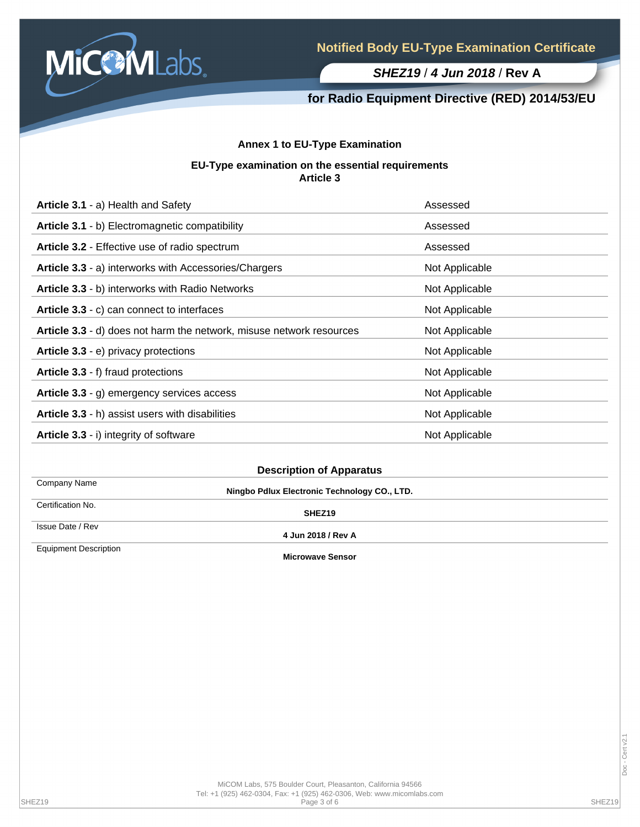

## **for Radio Equipment Directive (RED) 2014/53/EU**

### **Annex 1 to EU-Type Examination**

#### **EU-Type examination on the essential requirements Article 3**

| Article 3.1 - a) Health and Safety                                   | Assessed       |
|----------------------------------------------------------------------|----------------|
| Article 3.1 - b) Electromagnetic compatibility                       | Assessed       |
| Article 3.2 - Effective use of radio spectrum                        | Assessed       |
| Article 3.3 - a) interworks with Accessories/Chargers                | Not Applicable |
| Article 3.3 - b) interworks with Radio Networks                      | Not Applicable |
| Article 3.3 - c) can connect to interfaces                           | Not Applicable |
| Article 3.3 - d) does not harm the network, misuse network resources | Not Applicable |
| Article 3.3 - e) privacy protections                                 | Not Applicable |
| Article 3.3 - f) fraud protections                                   | Not Applicable |
| Article 3.3 - g) emergency services access                           | Not Applicable |
| Article 3.3 - h) assist users with disabilities                      | Not Applicable |
| Article 3.3 - i) integrity of software                               | Not Applicable |

| <b>Description of Apparatus</b> |  |  |
|---------------------------------|--|--|
|---------------------------------|--|--|

Company Name Certification No.

Issue Date / Rev

**Ningbo Pdlux Electronic Technology CO., LTD.**

**SHEZ19**

**4 Jun 2018 / Rev A**

Equipment Description

**Microwave Sensor**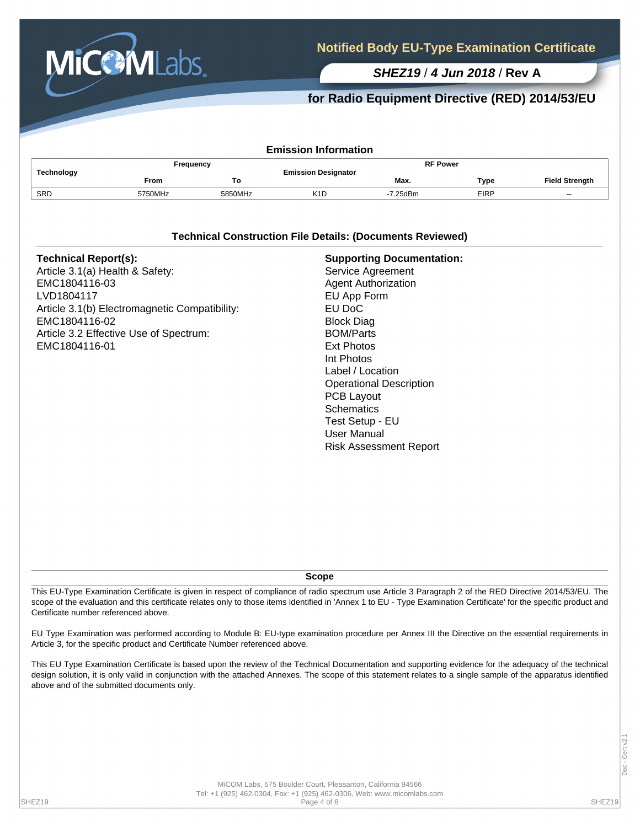

## **for Radio Equipment Directive (RED) 2014/53/EU**

| <b>Emission Information</b> |             |         |                            |                 |             |                       |  |  |  |
|-----------------------------|-------------|---------|----------------------------|-----------------|-------------|-----------------------|--|--|--|
| Technology                  | Frequency   |         | <b>Emission Designator</b> | <b>RF Power</b> |             |                       |  |  |  |
|                             | <b>From</b> | То      |                            | Max.            | Type        | <b>Field Strength</b> |  |  |  |
| SRD                         | 5750MHz     | 5850MHz | K <sub>1</sub> D           | -7.25dBm        | <b>EIRP</b> | $-$                   |  |  |  |

#### **Technical Construction File Details: (Documents Reviewed)**

**Scope**

This EU-Type Examination Certificate is given in respect of compliance of radio spectrum use Article 3 Paragraph 2 of the RED Directive 2014/53/EU. The scope of the evaluation and this certificate relates only to those items identified in 'Annex 1 to EU - Type Examination Certificate' for the specific product and Certificate number referenced above.

EU Type Examination was performed according to Module B: EU-type examination procedure per Annex III the Directive on the essential requirements in Article 3, for the specific product and Certificate Number referenced above.

This EU Type Examination Certificate is based upon the review of the Technical Documentation and supporting evidence for the adequacy of the technical design solution, it is only valid in conjunction with the attached Annexes. The scope of this statement relates to a single sample of the apparatus identified above and of the submitted documents only.

MiCOM Labs, 575 Boulder Court, Pleasanton, California 94566 Tel: +1 (925) 462-0304, Fax: +1 (925) 462-0306, Web: www.micomlabs.com SHEZ19 Page 4 of 6 SHEZ19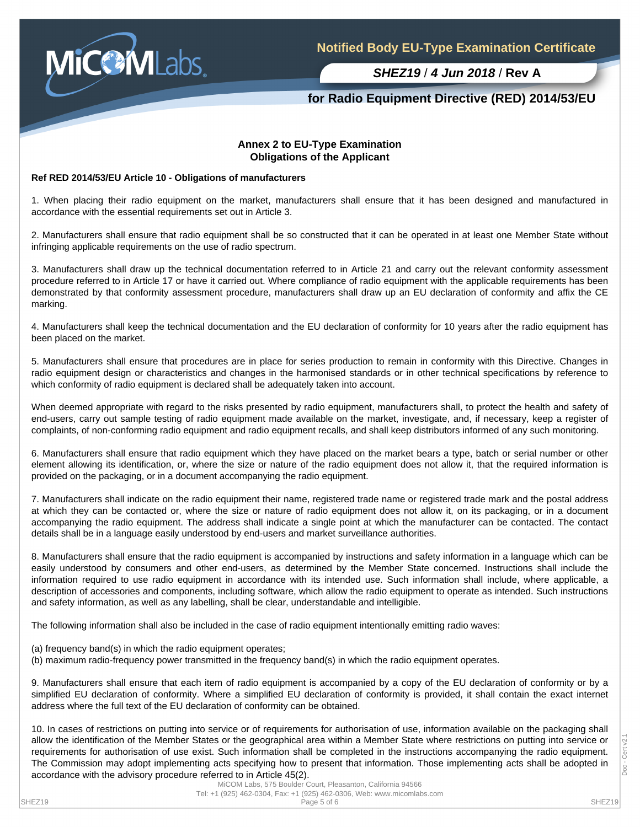

## **for Radio Equipment Directive (RED) 2014/53/EU**

#### **Annex 2 to EU-Type Examination Obligations of the Applicant**

#### **Ref RED 2014/53/EU Article 10 - Obligations of manufacturers**

1. When placing their radio equipment on the market, manufacturers shall ensure that it has been designed and manufactured in accordance with the essential requirements set out in Article 3.

2. Manufacturers shall ensure that radio equipment shall be so constructed that it can be operated in at least one Member State without infringing applicable requirements on the use of radio spectrum.

3. Manufacturers shall draw up the technical documentation referred to in Article 21 and carry out the relevant conformity assessment procedure referred to in Article 17 or have it carried out. Where compliance of radio equipment with the applicable requirements has been demonstrated by that conformity assessment procedure, manufacturers shall draw up an EU declaration of conformity and affix the CE marking.

4. Manufacturers shall keep the technical documentation and the EU declaration of conformity for 10 years after the radio equipment has been placed on the market.

5. Manufacturers shall ensure that procedures are in place for series production to remain in conformity with this Directive. Changes in radio equipment design or characteristics and changes in the harmonised standards or in other technical specifications by reference to which conformity of radio equipment is declared shall be adequately taken into account.

When deemed appropriate with regard to the risks presented by radio equipment, manufacturers shall, to protect the health and safety of end-users, carry out sample testing of radio equipment made available on the market, investigate, and, if necessary, keep a register of complaints, of non-conforming radio equipment and radio equipment recalls, and shall keep distributors informed of any such monitoring.

6. Manufacturers shall ensure that radio equipment which they have placed on the market bears a type, batch or serial number or other element allowing its identification, or, where the size or nature of the radio equipment does not allow it, that the required information is provided on the packaging, or in a document accompanying the radio equipment.

7. Manufacturers shall indicate on the radio equipment their name, registered trade name or registered trade mark and the postal address at which they can be contacted or, where the size or nature of radio equipment does not allow it, on its packaging, or in a document accompanying the radio equipment. The address shall indicate a single point at which the manufacturer can be contacted. The contact details shall be in a language easily understood by end-users and market surveillance authorities.

8. Manufacturers shall ensure that the radio equipment is accompanied by instructions and safety information in a language which can be easily understood by consumers and other end-users, as determined by the Member State concerned. Instructions shall include the information required to use radio equipment in accordance with its intended use. Such information shall include, where applicable, a description of accessories and components, including software, which allow the radio equipment to operate as intended. Such instructions and safety information, as well as any labelling, shall be clear, understandable and intelligible.

The following information shall also be included in the case of radio equipment intentionally emitting radio waves:

- (a) frequency band(s) in which the radio equipment operates;
- (b) maximum radio-frequency power transmitted in the frequency band(s) in which the radio equipment operates.

9. Manufacturers shall ensure that each item of radio equipment is accompanied by a copy of the EU declaration of conformity or by a simplified EU declaration of conformity. Where a simplified EU declaration of conformity is provided, it shall contain the exact internet address where the full text of the EU declaration of conformity can be obtained.

10. In cases of restrictions on putting into service or of requirements for authorisation of use, information available on the packaging shall allow the identification of the Member States or the geographical area within a Member State where restrictions on putting into service or requirements for authorisation of use exist. Such information shall be completed in the instructions accompanying the radio equipment. The Commission may adopt implementing acts specifying how to present that information. Those implementing acts shall be adopted in accordance with the advisory procedure referred to in Article 45(2).